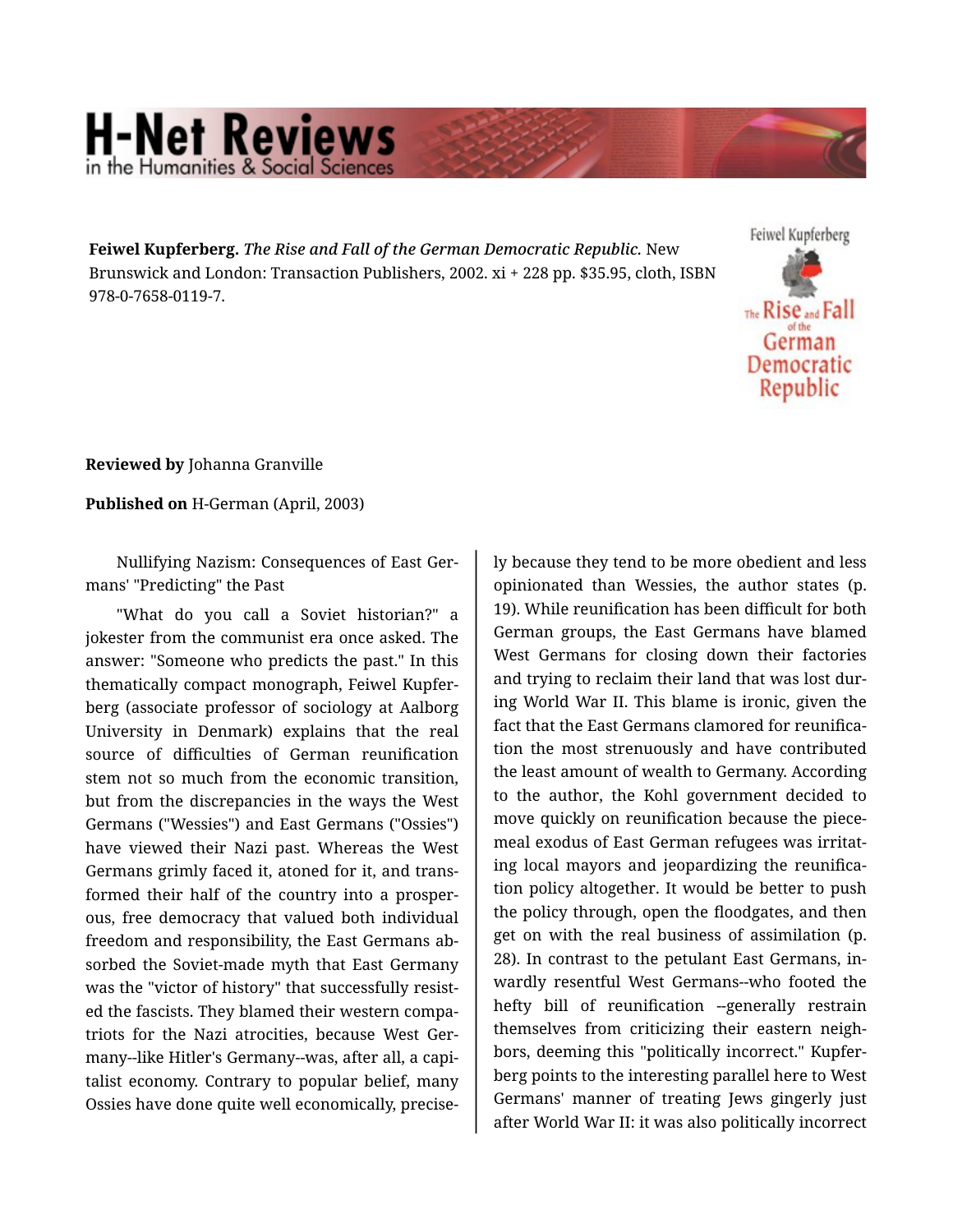## **H-Net Reviews** in the Humanities & Social Scier

**Feiwel Kupferberg.** *The Rise and Fall of the German Democratic Republic.* New Brunswick and London: Transaction Publishers, 2002. xi + 228 pp. \$35.95, cloth, ISBN 978-0-7658-0119-7.



**Reviewed by** Johanna Granville

**Published on** H-German (April, 2003)

Nullifying Nazism: Consequences of East Ger‐ mans' "Predicting" the Past

"What do you call a Soviet historian?" a jokester from the communist era once asked. The answer: "Someone who predicts the past." In this thematically compact monograph, Feiwel Kupfer‐ berg (associate professor of sociology at Aalborg University in Denmark) explains that the real source of difficulties of German reunification stem not so much from the economic transition, but from the discrepancies in the ways the West Germans ("Wessies") and East Germans ("Ossies") have viewed their Nazi past. Whereas the West Germans grimly faced it, atoned for it, and trans‐ formed their half of the country into a prosper‐ ous, free democracy that valued both individual freedom and responsibility, the East Germans ab‐ sorbed the Soviet-made myth that East Germany was the "victor of history" that successfully resist‐ ed the fascists. They blamed their western compa‐ triots for the Nazi atrocities, because West Ger‐ many--like Hitler's Germany--was, after all, a capi‐ talist economy. Contrary to popular belief, many Ossies have done quite well economically, precise‐

ly because they tend to be more obedient and less opinionated than Wessies, the author states (p. 19). While reunification has been difficult for both German groups, the East Germans have blamed West Germans for closing down their factories and trying to reclaim their land that was lost dur‐ ing World War II. This blame is ironic, given the fact that the East Germans clamored for reunifica‐ tion the most strenuously and have contributed the least amount of wealth to Germany. According to the author, the Kohl government decided to move quickly on reunification because the piece‐ meal exodus of East German refugees was irritat‐ ing local mayors and jeopardizing the reunifica‐ tion policy altogether. It would be better to push the policy through, open the floodgates, and then get on with the real business of assimilation (p. 28). In contrast to the petulant East Germans, in‐ wardly resentful West Germans--who footed the hefty bill of reunification --generally restrain themselves from criticizing their eastern neigh‐ bors, deeming this "politically incorrect." Kupfer‐ berg points to the interesting parallel here to West Germans' manner of treating Jews gingerly just after World War II: it was also politically incorrect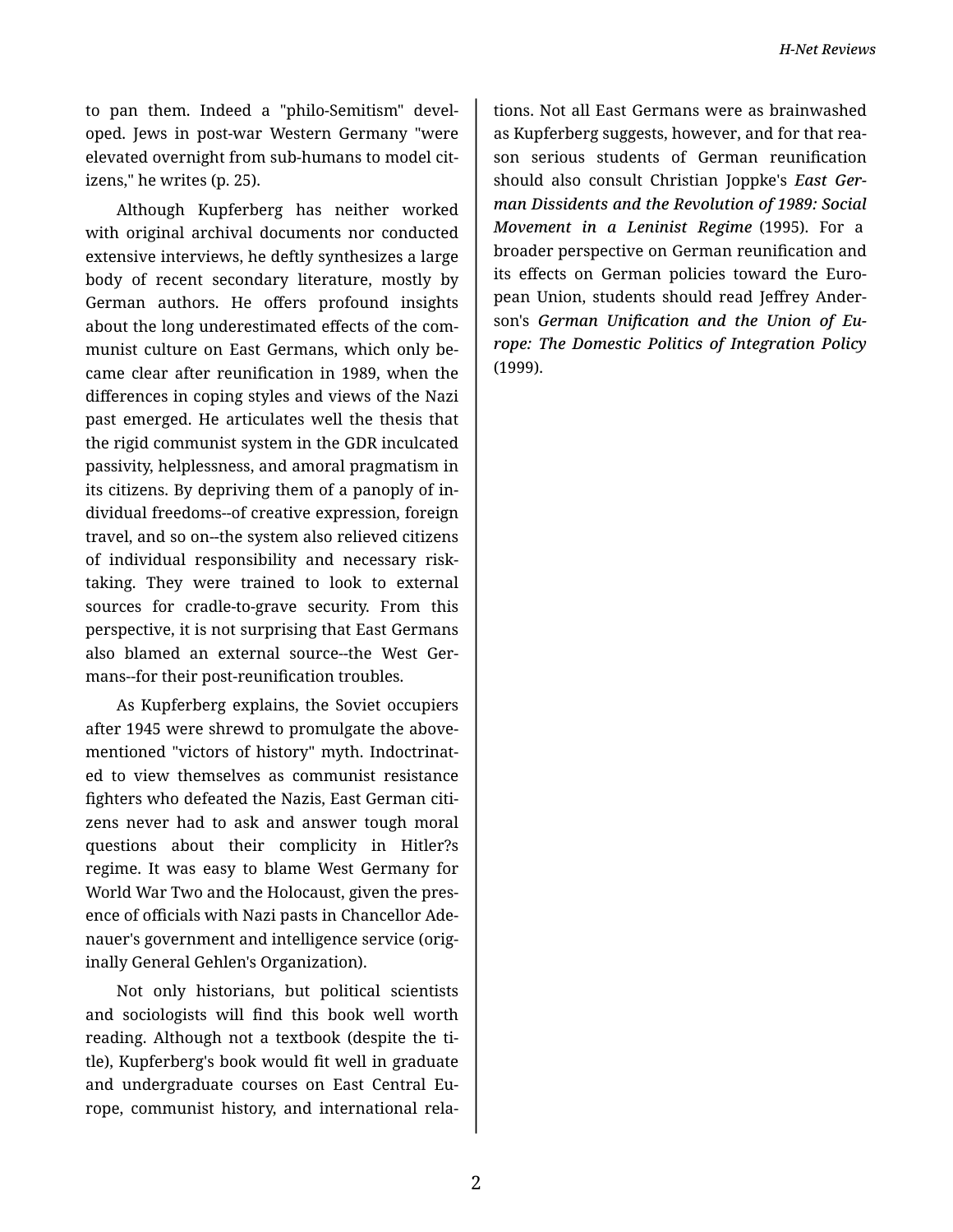to pan them. Indeed a "philo-Semitism" devel‐ oped. Jews in post-war Western Germany "were elevated overnight from sub-humans to model cit‐ izens," he writes (p. 25).

Although Kupferberg has neither worked with original archival documents nor conducted extensive interviews, he deftly synthesizes a large body of recent secondary literature, mostly by German authors. He offers profound insights about the long underestimated effects of the com‐ munist culture on East Germans, which only be‐ came clear after reunification in 1989, when the differences in coping styles and views of the Nazi past emerged. He articulates well the thesis that the rigid communist system in the GDR inculcated passivity, helplessness, and amoral pragmatism in its citizens. By depriving them of a panoply of in‐ dividual freedoms--of creative expression, foreign travel, and so on--the system also relieved citizens of individual responsibility and necessary risktaking. They were trained to look to external sources for cradle-to-grave security. From this perspective, it is not surprising that East Germans also blamed an external source--the West Ger‐ mans--for their post-reunification troubles.

As Kupferberg explains, the Soviet occupiers after 1945 were shrewd to promulgate the above‐ mentioned "victors of history" myth. Indoctrinat‐ ed to view themselves as communist resistance fighters who defeated the Nazis, East German citi‐ zens never had to ask and answer tough moral questions about their complicity in Hitler?s regime. It was easy to blame West Germany for World War Two and the Holocaust, given the pres‐ ence of officials with Nazi pasts in Chancellor Ade‐ nauer's government and intelligence service (orig‐ inally General Gehlen's Organization).

Not only historians, but political scientists and sociologists will find this book well worth reading. Although not a textbook (despite the ti‐ tle), Kupferberg's book would fit well in graduate and undergraduate courses on East Central Eu‐ rope, communist history, and international rela‐

tions. Not all East Germans were as brainwashed as Kupferberg suggests, however, and for that rea‐ son serious students of German reunification should also consult Christian Joppke's *East Ger‐ man Dissidents and the Revolution of 1989: Social Movement in a Leninist Regime* (1995). For a broader perspective on German reunification and its effects on German policies toward the European Union, students should read Jeffrey Ander‐ son's *German Unification and the Union of Eu‐ rope: The Domestic Politics of Integration Policy* (1999).